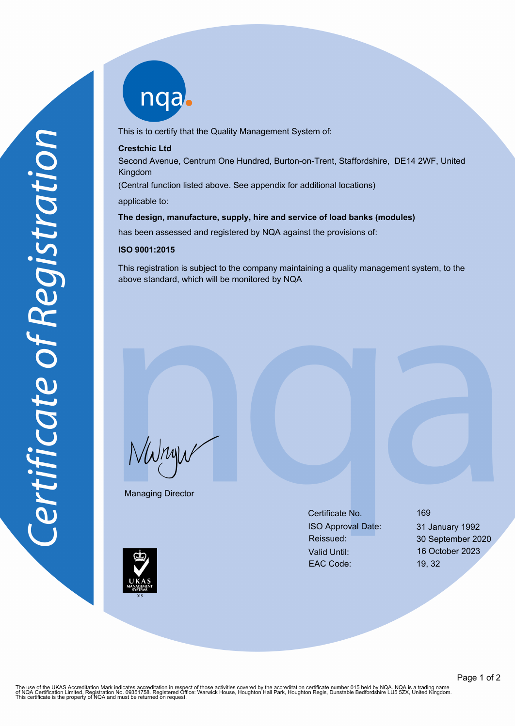nqab

This is to certify that the Quality Management System of:

## **Crestchic Ltd**

Second Avenue, Centrum One Hundred, Burton-on-Trent, Staffordshire, DE14 2WF, United Kingdom

(Central function listed above. See appendix for additional locations)

applicable to:

### **The design, manufacture, supply, hire and service of load banks (modules)**

has been assessed and registered by NQA against the provisions of:

#### **ISO 9001:2015**

This registration is subject to the company maintaining a quality management system, to the above standard, which will be monitored by NQA

NWnyw

Managing Director

Certificate No. 169 ISO Approval Date: 31 January 1992 Valid Until: 16 October 2023 EAC Code: 19, 32

Reissued: 30 September 2020